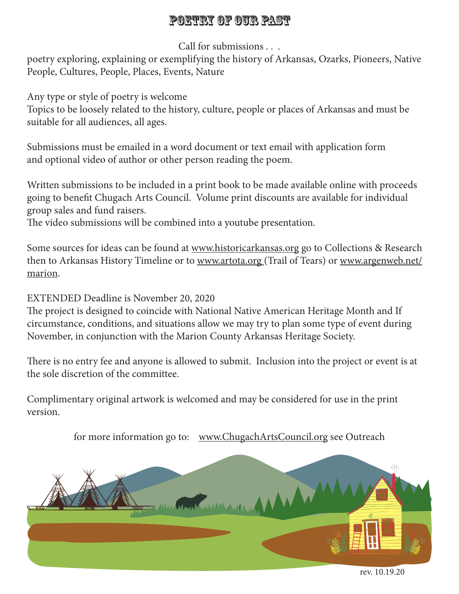## Poetry of our Past

Call for submissions . . .

poetry exploring, explaining or exemplifying the history of Arkansas, Ozarks, Pioneers, Native People, Cultures, People, Places, Events, Nature

Any type or style of poetry is welcome

Topics to be loosely related to the history, culture, people or places of Arkansas and must be suitable for all audiences, all ages.

Submissions must be emailed in a word document or text email with application form and optional video of author or other person reading the poem.

Written submissions to be included in a print book to be made available online with proceeds going to benefit Chugach Arts Council. Volume print discounts are available for individual group sales and fund raisers.

The video submissions will be combined into a youtube presentation.

Some sources for ideas can be found at www.historicarkansas.org go to Collections & Research then to Arkansas History Timeline or to www.artota.org (Trail of Tears) or www.argenweb.net/ marion.

EXTENDED Deadline is November 20, 2020

The project is designed to coincide with National Native American Heritage Month and If circumstance, conditions, and situations allow we may try to plan some type of event during November, in conjunction with the Marion County Arkansas Heritage Society.

There is no entry fee and anyone is allowed to submit. Inclusion into the project or event is at the sole discretion of the committee.

Complimentary original artwork is welcomed and may be considered for use in the print version.

for more information go to: www.ChugachArtsCouncil.org see Outreach



rev. 10.19.20